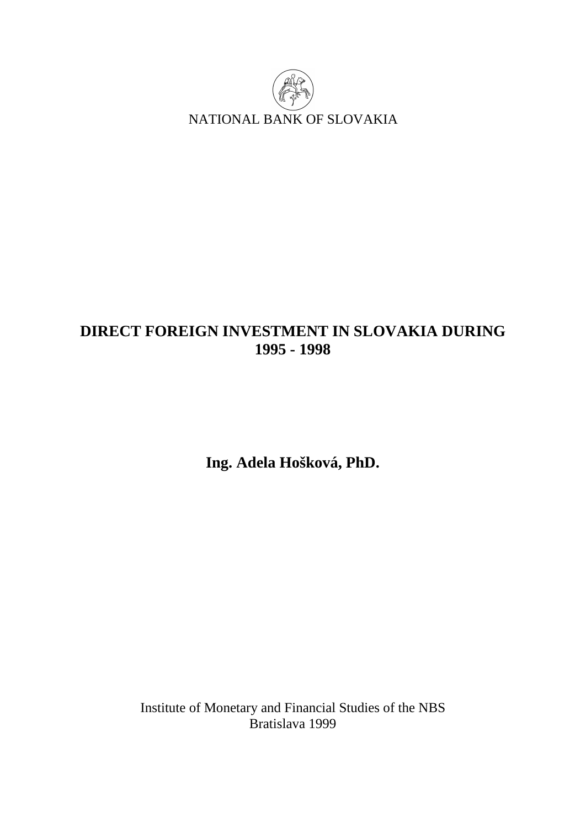

# **DIRECT FOREIGN INVESTMENT IN SLOVAKIA DURING 1995 - 1998**

**Ing. Adela Hošková, PhD.** 

Institute of Monetary and Financial Studies of the NBS Bratislava 1999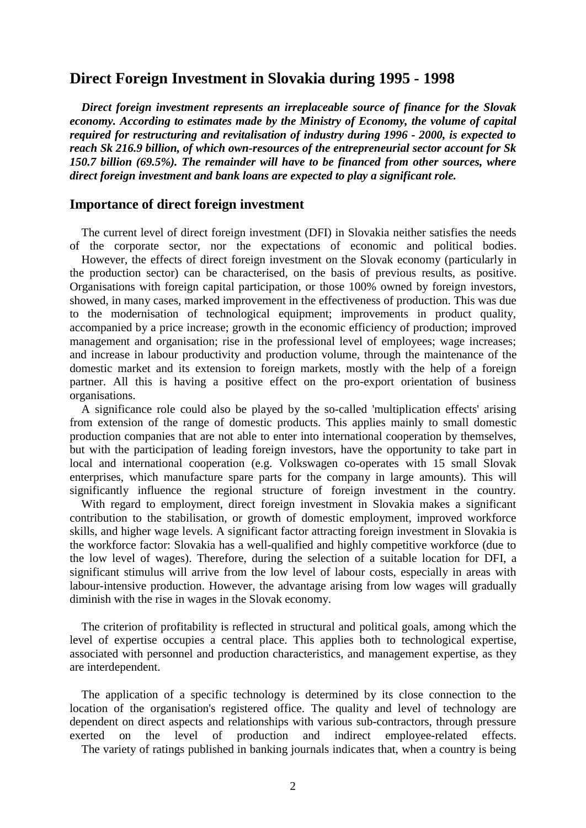# **Direct Foreign Investment in Slovakia during 1995 - 1998**

 *Direct foreign investment represents an irreplaceable source of finance for the Slovak economy. According to estimates made by the Ministry of Economy, the volume of capital required for restructuring and revitalisation of industry during 1996 - 2000, is expected to reach Sk 216.9 billion, of which own-resources of the entrepreneurial sector account for Sk 150.7 billion (69.5%). The remainder will have to be financed from other sources, where direct foreign investment and bank loans are expected to play a significant role.* 

#### **Importance of direct foreign investment**

 The current level of direct foreign investment (DFI) in Slovakia neither satisfies the needs of the corporate sector, nor the expectations of economic and political bodies. However, the effects of direct foreign investment on the Slovak economy (particularly in the production sector) can be characterised, on the basis of previous results, as positive. Organisations with foreign capital participation, or those 100% owned by foreign investors, showed, in many cases, marked improvement in the effectiveness of production. This was due to the modernisation of technological equipment; improvements in product quality, accompanied by a price increase; growth in the economic efficiency of production; improved management and organisation; rise in the professional level of employees; wage increases; and increase in labour productivity and production volume, through the maintenance of the domestic market and its extension to foreign markets, mostly with the help of a foreign partner. All this is having a positive effect on the pro-export orientation of business organisations.

 A significance role could also be played by the so-called 'multiplication effects' arising from extension of the range of domestic products. This applies mainly to small domestic production companies that are not able to enter into international cooperation by themselves, but with the participation of leading foreign investors, have the opportunity to take part in local and international cooperation (e.g. Volkswagen co-operates with 15 small Slovak enterprises, which manufacture spare parts for the company in large amounts). This will significantly influence the regional structure of foreign investment in the country.

 With regard to employment, direct foreign investment in Slovakia makes a significant contribution to the stabilisation, or growth of domestic employment, improved workforce skills, and higher wage levels. A significant factor attracting foreign investment in Slovakia is the workforce factor: Slovakia has a well-qualified and highly competitive workforce (due to the low level of wages). Therefore, during the selection of a suitable location for DFI, a significant stimulus will arrive from the low level of labour costs, especially in areas with labour-intensive production. However, the advantage arising from low wages will gradually diminish with the rise in wages in the Slovak economy.

 The criterion of profitability is reflected in structural and political goals, among which the level of expertise occupies a central place. This applies both to technological expertise, associated with personnel and production characteristics, and management expertise, as they are interdependent.

 The application of a specific technology is determined by its close connection to the location of the organisation's registered office. The quality and level of technology are dependent on direct aspects and relationships with various sub-contractors, through pressure exerted on the level of production and indirect employee-related effects.

The variety of ratings published in banking journals indicates that, when a country is being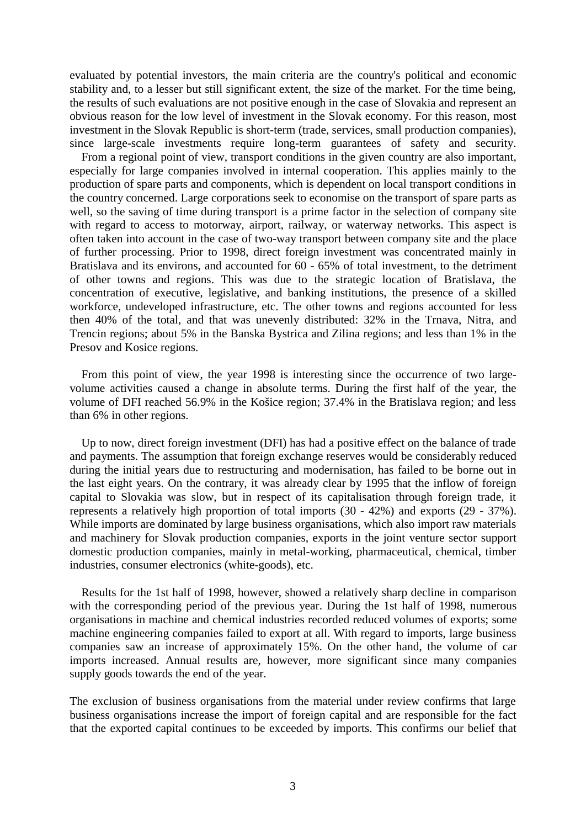evaluated by potential investors, the main criteria are the country's political and economic stability and, to a lesser but still significant extent, the size of the market. For the time being, the results of such evaluations are not positive enough in the case of Slovakia and represent an obvious reason for the low level of investment in the Slovak economy. For this reason, most investment in the Slovak Republic is short-term (trade, services, small production companies), since large-scale investments require long-term guarantees of safety and security.

 From a regional point of view, transport conditions in the given country are also important, especially for large companies involved in internal cooperation. This applies mainly to the production of spare parts and components, which is dependent on local transport conditions in the country concerned. Large corporations seek to economise on the transport of spare parts as well, so the saving of time during transport is a prime factor in the selection of company site with regard to access to motorway, airport, railway, or waterway networks. This aspect is often taken into account in the case of two-way transport between company site and the place of further processing. Prior to 1998, direct foreign investment was concentrated mainly in Bratislava and its environs, and accounted for 60 - 65% of total investment, to the detriment of other towns and regions. This was due to the strategic location of Bratislava, the concentration of executive, legislative, and banking institutions, the presence of a skilled workforce, undeveloped infrastructure, etc. The other towns and regions accounted for less then 40% of the total, and that was unevenly distributed: 32% in the Trnava, Nitra, and Trencin regions; about 5% in the Banska Bystrica and Zilina regions; and less than 1% in the Presov and Kosice regions.

 From this point of view, the year 1998 is interesting since the occurrence of two largevolume activities caused a change in absolute terms. During the first half of the year, the volume of DFI reached 56.9% in the Košice region; 37.4% in the Bratislava region; and less than 6% in other regions.

 Up to now, direct foreign investment (DFI) has had a positive effect on the balance of trade and payments. The assumption that foreign exchange reserves would be considerably reduced during the initial years due to restructuring and modernisation, has failed to be borne out in the last eight years. On the contrary, it was already clear by 1995 that the inflow of foreign capital to Slovakia was slow, but in respect of its capitalisation through foreign trade, it represents a relatively high proportion of total imports (30 - 42%) and exports (29 - 37%). While imports are dominated by large business organisations, which also import raw materials and machinery for Slovak production companies, exports in the joint venture sector support domestic production companies, mainly in metal-working, pharmaceutical, chemical, timber industries, consumer electronics (white-goods), etc.

 Results for the 1st half of 1998, however, showed a relatively sharp decline in comparison with the corresponding period of the previous year. During the 1st half of 1998, numerous organisations in machine and chemical industries recorded reduced volumes of exports; some machine engineering companies failed to export at all. With regard to imports, large business companies saw an increase of approximately 15%. On the other hand, the volume of car imports increased. Annual results are, however, more significant since many companies supply goods towards the end of the year.

The exclusion of business organisations from the material under review confirms that large business organisations increase the import of foreign capital and are responsible for the fact that the exported capital continues to be exceeded by imports. This confirms our belief that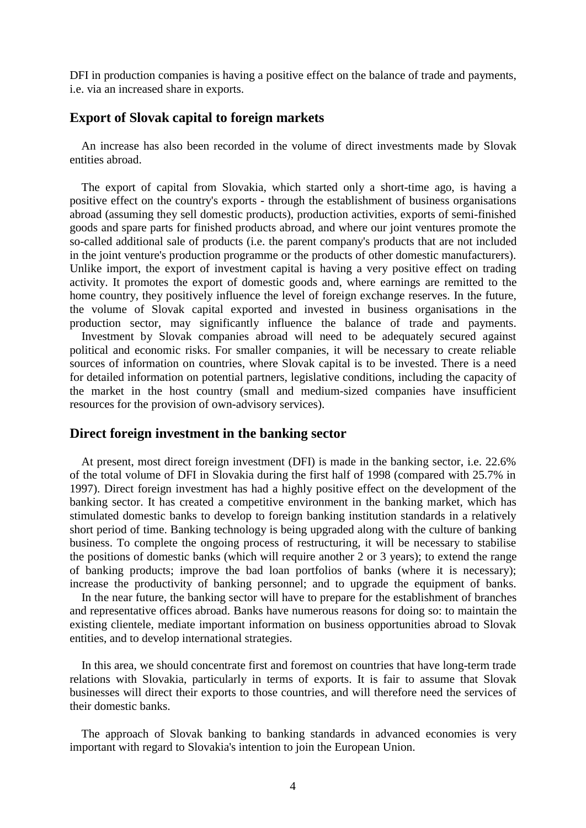DFI in production companies is having a positive effect on the balance of trade and payments, i.e. via an increased share in exports.

# **Export of Slovak capital to foreign markets**

 An increase has also been recorded in the volume of direct investments made by Slovak entities abroad.

 The export of capital from Slovakia, which started only a short-time ago, is having a positive effect on the country's exports - through the establishment of business organisations abroad (assuming they sell domestic products), production activities, exports of semi-finished goods and spare parts for finished products abroad, and where our joint ventures promote the so-called additional sale of products (i.e. the parent company's products that are not included in the joint venture's production programme or the products of other domestic manufacturers). Unlike import, the export of investment capital is having a very positive effect on trading activity. It promotes the export of domestic goods and, where earnings are remitted to the home country, they positively influence the level of foreign exchange reserves. In the future, the volume of Slovak capital exported and invested in business organisations in the production sector, may significantly influence the balance of trade and payments. Investment by Slovak companies abroad will need to be adequately secured against political and economic risks. For smaller companies, it will be necessary to create reliable sources of information on countries, where Slovak capital is to be invested. There is a need for detailed information on potential partners, legislative conditions, including the capacity of the market in the host country (small and medium-sized companies have insufficient resources for the provision of own-advisory services).

## **Direct foreign investment in the banking sector**

 At present, most direct foreign investment (DFI) is made in the banking sector, i.e. 22.6% of the total volume of DFI in Slovakia during the first half of 1998 (compared with 25.7% in 1997). Direct foreign investment has had a highly positive effect on the development of the banking sector. It has created a competitive environment in the banking market, which has stimulated domestic banks to develop to foreign banking institution standards in a relatively short period of time. Banking technology is being upgraded along with the culture of banking business. To complete the ongoing process of restructuring, it will be necessary to stabilise the positions of domestic banks (which will require another 2 or 3 years); to extend the range of banking products; improve the bad loan portfolios of banks (where it is necessary); increase the productivity of banking personnel; and to upgrade the equipment of banks.

 In the near future, the banking sector will have to prepare for the establishment of branches and representative offices abroad. Banks have numerous reasons for doing so: to maintain the existing clientele, mediate important information on business opportunities abroad to Slovak entities, and to develop international strategies.

 In this area, we should concentrate first and foremost on countries that have long-term trade relations with Slovakia, particularly in terms of exports. It is fair to assume that Slovak businesses will direct their exports to those countries, and will therefore need the services of their domestic banks.

 The approach of Slovak banking to banking standards in advanced economies is very important with regard to Slovakia's intention to join the European Union.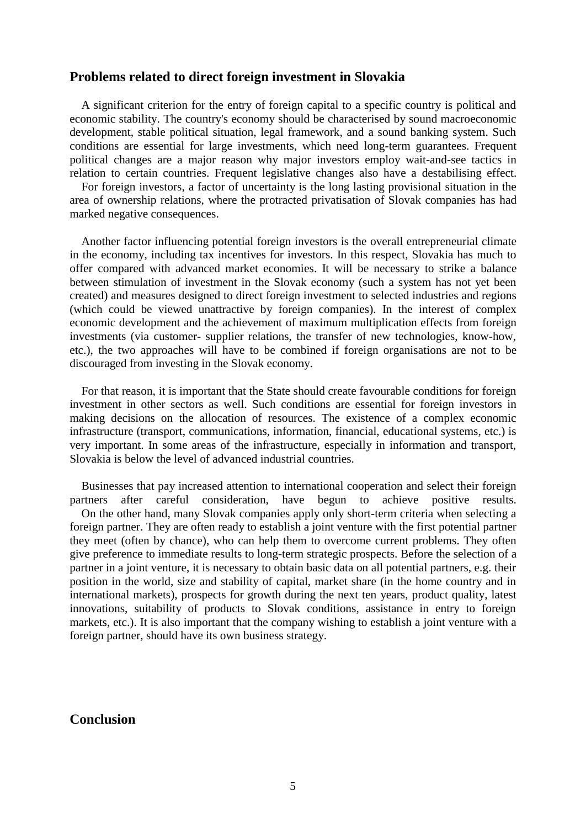#### **Problems related to direct foreign investment in Slovakia**

 A significant criterion for the entry of foreign capital to a specific country is political and economic stability. The country's economy should be characterised by sound macroeconomic development, stable political situation, legal framework, and a sound banking system. Such conditions are essential for large investments, which need long-term guarantees. Frequent political changes are a major reason why major investors employ wait-and-see tactics in relation to certain countries. Frequent legislative changes also have a destabilising effect.

 For foreign investors, a factor of uncertainty is the long lasting provisional situation in the area of ownership relations, where the protracted privatisation of Slovak companies has had marked negative consequences.

 Another factor influencing potential foreign investors is the overall entrepreneurial climate in the economy, including tax incentives for investors. In this respect, Slovakia has much to offer compared with advanced market economies. It will be necessary to strike a balance between stimulation of investment in the Slovak economy (such a system has not yet been created) and measures designed to direct foreign investment to selected industries and regions (which could be viewed unattractive by foreign companies). In the interest of complex economic development and the achievement of maximum multiplication effects from foreign investments (via customer- supplier relations, the transfer of new technologies, know-how, etc.), the two approaches will have to be combined if foreign organisations are not to be discouraged from investing in the Slovak economy.

 For that reason, it is important that the State should create favourable conditions for foreign investment in other sectors as well. Such conditions are essential for foreign investors in making decisions on the allocation of resources. The existence of a complex economic infrastructure (transport, communications, information, financial, educational systems, etc.) is very important. In some areas of the infrastructure, especially in information and transport, Slovakia is below the level of advanced industrial countries.

 Businesses that pay increased attention to international cooperation and select their foreign partners after careful consideration, have begun to achieve positive results. On the other hand, many Slovak companies apply only short-term criteria when selecting a foreign partner. They are often ready to establish a joint venture with the first potential partner they meet (often by chance), who can help them to overcome current problems. They often give preference to immediate results to long-term strategic prospects. Before the selection of a partner in a joint venture, it is necessary to obtain basic data on all potential partners, e.g. their position in the world, size and stability of capital, market share (in the home country and in international markets), prospects for growth during the next ten years, product quality, latest innovations, suitability of products to Slovak conditions, assistance in entry to foreign markets, etc.). It is also important that the company wishing to establish a joint venture with a foreign partner, should have its own business strategy.

## **Conclusion**